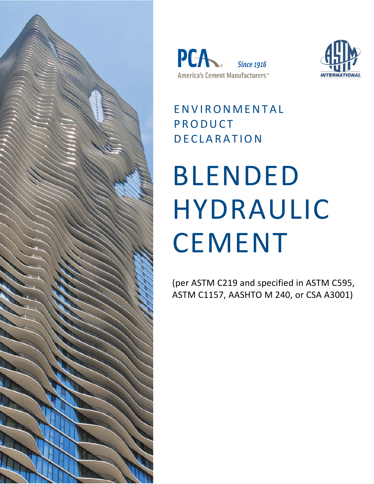





### ENVIRONMENTAL PRODUCT DECLARATION

# BLENDED HYDRAULIC CEMENT

(per ASTM C219 and specified in ASTM C595, ASTM C1157, AASHTO M 240, or CSA A3001)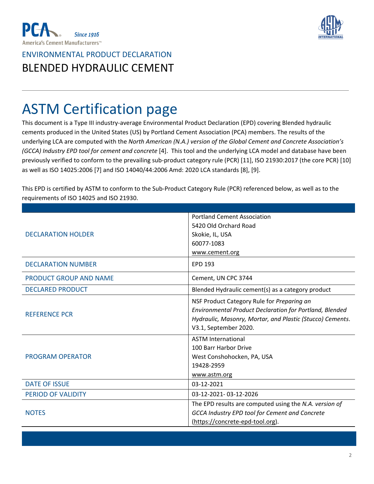



# ASTM Certification page

This document is a Type III industry-average Environmental Product Declaration (EPD) covering Blended hydraulic cements produced in the United States (US) by Portland Cement Association (PCA) members. The results of the underlying LCA are computed with the *North American (N.A.) version of the Global Cement and Concrete Association's (GCCA) Industry EPD tool for cement and concrete* [4]. This tool and the underlying LCA model and database have been previously verified to conform to the prevailing sub-product category rule (PCR) [11], ISO 21930:2017 (the core PCR) [10] as well as ISO 14025:2006 [7] and ISO 14040/44:2006 Amd: 2020 LCA standards [8], [9].

This EPD is certified by ASTM to conform to the Sub-Product Category Rule (PCR) referenced below, as well as to the requirements of ISO 14025 and ISO 21930.

|                           | <b>Portland Cement Association</b>                        |  |
|---------------------------|-----------------------------------------------------------|--|
|                           | 5420 Old Orchard Road                                     |  |
| <b>DECLARATION HOLDER</b> | Skokie, IL, USA                                           |  |
|                           | 60077-1083                                                |  |
|                           | www.cement.org                                            |  |
| <b>DECLARATION NUMBER</b> | <b>EPD 193</b>                                            |  |
| PRODUCT GROUP AND NAME    | Cement, UN CPC 3744                                       |  |
| <b>DECLARED PRODUCT</b>   | Blended Hydraulic cement(s) as a category product         |  |
| <b>REFERENCE PCR</b>      | NSF Product Category Rule for Preparing an                |  |
|                           | Environmental Product Declaration for Portland, Blended   |  |
|                           | Hydraulic, Masonry, Mortar, and Plastic (Stucco) Cements. |  |
|                           | V3.1, September 2020.                                     |  |
|                           | <b>ASTM International</b>                                 |  |
|                           | 100 Barr Harbor Drive                                     |  |
| <b>PROGRAM OPERATOR</b>   | West Conshohocken, PA, USA                                |  |
|                           | 19428-2959                                                |  |
|                           | www.astm.org                                              |  |
| <b>DATE OF ISSUE</b>      | 03-12-2021                                                |  |
| <b>PERIOD OF VALIDITY</b> | 03-12-2021-03-12-2026                                     |  |
|                           | The EPD results are computed using the N.A. version of    |  |
| <b>NOTES</b>              | <b>GCCA Industry EPD tool for Cement and Concrete</b>     |  |
|                           | (https://concrete-epd-tool.org).                          |  |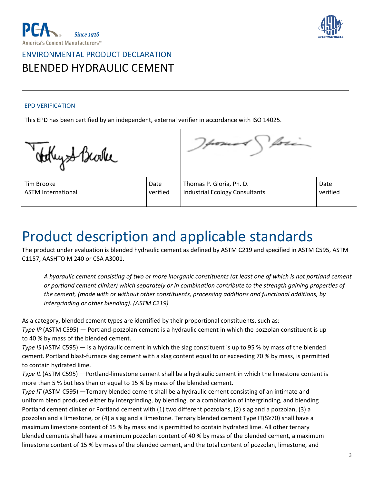



#### EPD VERIFICATION

This EPD has been certified by an independent, external verifier in accordance with ISO 14025.

ethyst Bevike

Tim Brooke ASTM International

Date verified

Thomas P. Gloria, Ph. D. Industrial Ecology Consultants Date verified

## Product description and applicable standards

The product under evaluation is blended hydraulic cement as defined by ASTM C219 and specified in ASTM C595, ASTM C1157, AASHTO M 240 or CSA A3001.

A hydraulic cement consisting of two or more inorganic constituents (at least one of which is not portland cement *or portland cement clinker) which separately or in combination contribute to the strength gaining properties of the cement, (made with or without other constituents, processing additions and functional additions, by intergrinding or other blending). (ASTM C219)*

As a category, blended cement types are identified by their proportional constituents, such as:

*Type IP* (ASTM C595) — Portland-pozzolan cement is a hydraulic cement in which the pozzolan constituent is up to 40 % by mass of the blended cement.

*Type IS* (ASTM C595) — is a hydraulic cement in which the slag constituent is up to 95 % by mass of the blended cement. Portland blast-furnace slag cement with a slag content equal to or exceeding 70 % by mass, is permitted to contain hydrated lime.

*Type IL* (ASTM C595) —Portland-limestone cement shall be a hydraulic cement in which the limestone content is more than 5 % but less than or equal to 15 % by mass of the blended cement.

*Type IT* (ASTM C595) —Ternary blended cement shall be a hydraulic cement consisting of an intimate and uniform blend produced either by intergrinding, by blending, or a combination of intergrinding, and blending Portland cement clinker or Portland cement with (1) two different pozzolans, (2) slag and a pozzolan, (3) a pozzolan and a limestone, or (4) a slag and a limestone. Ternary blended cement Type IT(S≥70) shall have a maximum limestone content of 15 % by mass and is permitted to contain hydrated lime. All other ternary blended cements shall have a maximum pozzolan content of 40 % by mass of the blended cement, a maximum limestone content of 15 % by mass of the blended cement, and the total content of pozzolan, limestone, and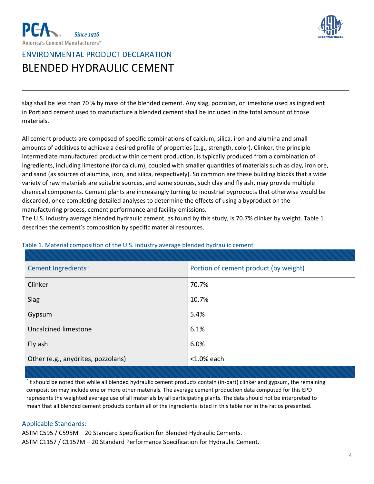



slag shall be less than 70 % by mass of the blended cement. Any slag, pozzolan, or limestone used as ingredient in Portland cement used to manufacture a blended cement shall be included in the total amount of those materials.

All cement products are composed of specific combinations of calcium, silica, iron and alumina and small amounts of additives to achieve a desired profile of properties (e.g., strength, color). Clinker, the principle intermediate manufactured product within cement production, is typically produced from a combination of ingredients, including limestone (for calcium), coupled with smaller quantities of materials such as clay, iron ore, and sand (as sources of alumina, iron, and silica, respectively). So common are these building blocks that a wide variety of raw materials are suitable sources, and some sources, such clay and fly ash, may provide multiple chemical components. Cement plants are increasingly turning to industrial byproducts that otherwise would be discarded, once completing detailed analyses to determine the effects of using a byproduct on the manufacturing process, cement performance and facility emissions.

The U.S. industry average blended hydraulic cement, as found by this study, is 70.7% clinker by weight. Table 1 describes the cement's composition by specific material resources.

| Cement Ingredients <sup>a</sup>    | Portion of cement product (by weight) |
|------------------------------------|---------------------------------------|
| Clinker                            | 70.7%                                 |
| Slag                               | 10.7%                                 |
| Gypsum                             | 5.4%                                  |
| Uncalcined limestone               | 6.1%                                  |
| Fly ash                            | 6.0%                                  |
| Other (e.g., anydrites, pozzolans) | $<$ 1.0% each                         |

#### Table 1. Material composition of the U.S. industry average blended hydraulic cement

\* It should be noted that while all blended hydraulic cement products contain (in-part) clinker and gypsum, the remaining composition may include one or more other materials. The average cement production data computed for this EPD represents the weighted average use of all materials by all participating plants. The data should not be interpreted to mean that all blended cement products contain all of the ingredients listed in this table nor in the ratios presented.

#### Applicable Standards:

ASTM C595 / C595M – 20 Standard Specification for Blended Hydraulic Cements. ASTM C1157 / C1157M – 20 Standard Performance Specification for Hydraulic Cement.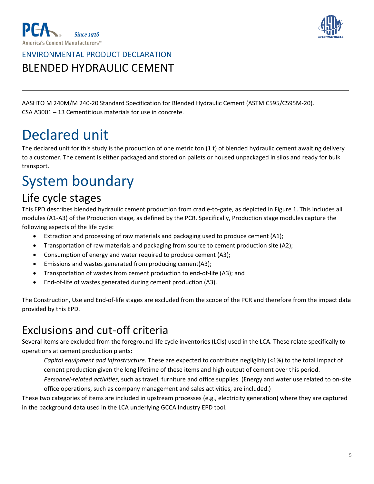



AASHTO M 240M/M 240-20 Standard Specification for Blended Hydraulic Cement (ASTM C595/C595M-20). CSA A3001 – 13 Cementitious materials for use in concrete.

## Declared unit

The declared unit for this study is the production of one metric ton (1 t) of blended hydraulic cement awaiting delivery to a customer. The cement is either packaged and stored on pallets or housed unpackaged in silos and ready for bulk transport.

# System boundary

#### Life cycle stages

This EPD describes blended hydraulic cement production from cradle-to-gate, as depicted in Figure 1. This includes all modules (A1-A3) of the Production stage, as defined by the PCR. Specifically, Production stage modules capture the following aspects of the life cycle:

- Extraction and processing of raw materials and packaging used to produce cement (A1);
- Transportation of raw materials and packaging from source to cement production site (A2);
- Consumption of energy and water required to produce cement (A3);
- Emissions and wastes generated from producing cement(A3);
- Transportation of wastes from cement production to end-of-life (A3); and
- End-of-life of wastes generated during cement production (A3).

The Construction, Use and End-of-life stages are excluded from the scope of the PCR and therefore from the impact data provided by this EPD.

#### Exclusions and cut-off criteria

Several items are excluded from the foreground life cycle inventories (LCIs) used in the LCA. These relate specifically to operations at cement production plants:

*Capital equipment and infrastructure.* These are expected to contribute negligibly (<1%) to the total impact of cement production given the long lifetime of these items and high output of cement over this period.

*Personnel-related activities*, such as travel, furniture and office supplies. (Energy and water use related to on-site office operations, such as company management and sales activities, are included.)

These two categories of items are included in upstream processes (e.g., electricity generation) where they are captured in the background data used in the LCA underlying GCCA Industry EPD tool.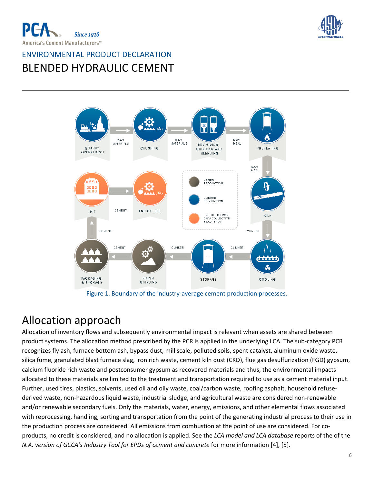





Figure 1. Boundary of the industry-average cement production processes.

### Allocation approach

Allocation of inventory flows and subsequently environmental impact is relevant when assets are shared between product systems. The allocation method prescribed by the PCR is applied in the underlying LCA. The sub-category PCR recognizes fly ash, furnace bottom ash, bypass dust, mill scale, polluted soils, spent catalyst, aluminum oxide waste, silica fume, granulated blast furnace slag, iron rich waste, cement kiln dust (CKD), flue gas desulfurization (FGD) gypsum, calcium fluoride rich waste and postconsumer gypsum as recovered materials and thus, the environmental impacts allocated to these materials are limited to the treatment and transportation required to use as a cement material input. Further, used tires, plastics, solvents, used oil and oily waste, coal/carbon waste, roofing asphalt, household refusederived waste, non-hazardous liquid waste, industrial sludge, and agricultural waste are considered non-renewable and/or renewable secondary fuels. Only the materials, water, energy, emissions, and other elemental flows associated with reprocessing, handling, sorting and transportation from the point of the generating industrial process to their use in the production process are considered. All emissions from combustion at the point of use are considered. For coproducts, no credit is considered, and no allocation is applied. See the *LCA model and LCA database* reports of the of the *N.A. version of GCCA's Industry Tool for EPDs of cement and concrete* for more information [4], [5].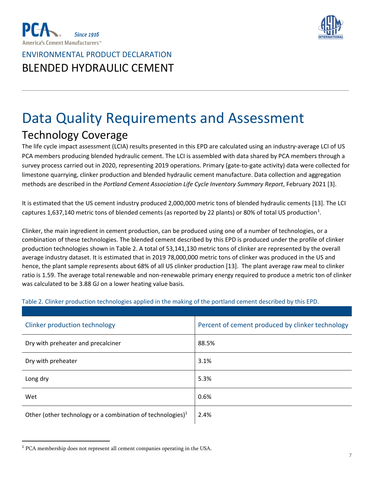



# Data Quality Requirements and Assessment Technology Coverage

The life cycle impact assessment (LCIA) results presented in this EPD are calculated using an industry-average LCI of US PCA members producing blended hydraulic cement. The LCI is assembled with data shared by PCA members through a survey process carried out in 2020, representing 2019 operations. Primary (gate-to-gate activity) data were collected for limestone quarrying, clinker production and blended hydraulic cement manufacture. Data collection and aggregation methods are described in the *Portland Cement Association Life Cycle Inventory Summary Report*, February 2021 [3].

It is estimated that the US cement industry produced 2,000,000 metric tons of blended hydraulic cements [13]. The LCI captures [1](#page-6-0),637,140 metric tons of blended cements (as reported by 22 plants) or 80% of total US production<sup>1</sup>.

Clinker, the main ingredient in cement production, can be produced using one of a number of technologies, or a combination of these technologies. The blended cement described by this EPD is produced under the profile of clinker production technologies shown in Table 2. A total of 53,141,130 metric tons of clinker are represented by the overall average industry dataset. It is estimated that in 2019 78,000,000 metric tons of clinker was produced in the US and hence, the plant sample represents about 68% of all US clinker production [13]. The plant average raw meal to clinker ratio is 1.59. The average total renewable and non-renewable primary energy required to produce a metric ton of clinker was calculated to be 3.88 GJ on a lower heating value basis.

| Clinker production technology                                 | Percent of cement produced by clinker technology |
|---------------------------------------------------------------|--------------------------------------------------|
| Dry with preheater and precalciner                            | 88.5%                                            |
| Dry with preheater                                            | 3.1%                                             |
| Long dry                                                      | 5.3%                                             |
| Wet                                                           | 0.6%                                             |
| Other (other technology or a combination of technologies) $1$ | 2.4%                                             |

#### Table 2. Clinker production technologies applied in the making of the portland cement described by this EPD.

<span id="page-6-0"></span><sup>1</sup> PCA membership does not represent all cement companies operating in the USA.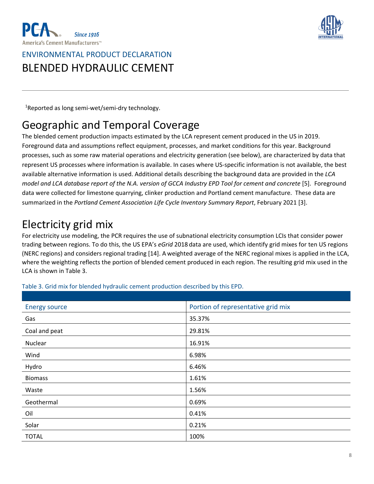



<sup>1</sup>Reported as long semi-wet/semi-dry technology.

### Geographic and Temporal Coverage

The blended cement production impacts estimated by the LCA represent cement produced in the US in 2019. Foreground data and assumptions reflect equipment, processes, and market conditions for this year. Background processes, such as some raw material operations and electricity generation (see below), are characterized by data that represent US processes where information is available. In cases where US-specific information is not available, the best available alternative information is used. Additional details describing the background data are provided in the *LCA* model and LCA database report of the N.A. version of GCCA Industry EPD Tool for cement and concrete [5]. Foreground data were collected for limestone quarrying, clinker production and Portland cement manufacture. These data are summarized in the *Portland Cement Association Life Cycle Inventory Summary Report*, February 2021 [3].

### Electricity grid mix

For electricity use modeling, the PCR requires the use of subnational electricity consumption LCIs that consider power trading between regions. To do this, the US EPA's *eGrid* 2018 data are used, which identify grid mixes for ten US regions (NERC regions) and considers regional trading [14]. A weighted average of the NERC regional mixes is applied in the LCA, where the weighting reflects the portion of blended cement produced in each region. The resulting grid mix used in the LCA is shown in Table 3.

| <b>Energy source</b> | Portion of representative grid mix |
|----------------------|------------------------------------|
| Gas                  | 35.37%                             |
| Coal and peat        | 29.81%                             |
| Nuclear              | 16.91%                             |
| Wind                 | 6.98%                              |
| Hydro                | 6.46%                              |
| <b>Biomass</b>       | 1.61%                              |
| Waste                | 1.56%                              |
| Geothermal           | 0.69%                              |
| Oil                  | 0.41%                              |
| Solar                | 0.21%                              |
| <b>TOTAL</b>         | 100%                               |

Table 3. Grid mix for blended hydraulic cement production described by this EPD.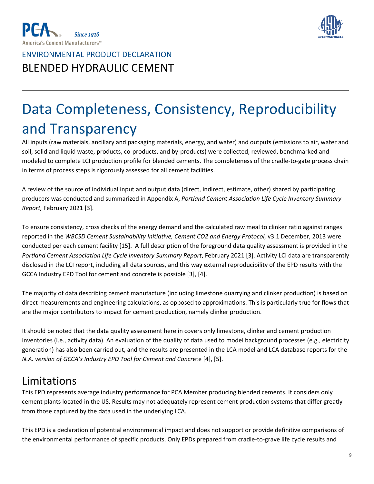



# Data Completeness, Consistency, Reproducibility and Transparency

All inputs (raw materials, ancillary and packaging materials, energy, and water) and outputs (emissions to air, water and soil, solid and liquid waste, products, co-products, and by-products) were collected, reviewed, benchmarked and modeled to complete LCI production profile for blended cements. The completeness of the cradle-to-gate process chain in terms of process steps is rigorously assessed for all cement facilities.

A review of the source of individual input and output data (direct, indirect, estimate, other) shared by participating producers was conducted and summarized in Appendix A, *Portland Cement Association Life Cycle Inventory Summary Report,* February 2021 [3].

To ensure consistency, cross checks of the energy demand and the calculated raw meal to clinker ratio against ranges reported in the *WBCSD Cement Sustainability Initiative, Cement CO2 and Energy Protocol,* v3.1 December, 2013 were conducted per each cement facility [15]. A full description of the foreground data quality assessment is provided in the *Portland Cement Association Life Cycle Inventory Summary Report*, February 2021 [3]. Activity LCI data are transparently disclosed in the LCI report, including all data sources, and this way external reproducibility of the EPD results with the GCCA Industry EPD Tool for cement and concrete is possible [3], [4].

The majority of data describing cement manufacture (including limestone quarrying and clinker production) is based on direct measurements and engineering calculations, as opposed to approximations. This is particularly true for flows that are the major contributors to impact for cement production, namely clinker production.

It should be noted that the data quality assessment here in covers only limestone, clinker and cement production inventories (i.e., activity data). An evaluation of the quality of data used to model background processes (e.g., electricity generation) has also been carried out, and the results are presented in the LCA model and LCA database reports for the *N.A. version of GCCA's Industry EPD Tool for Cement and Concr*ete [4], [5].

### Limitations

This EPD represents average industry performance for PCA Member producing blended cements. It considers only cement plants located in the US. Results may not adequately represent cement production systems that differ greatly from those captured by the data used in the underlying LCA.

This EPD is a declaration of potential environmental impact and does not support or provide definitive comparisons of the environmental performance of specific products. Only EPDs prepared from cradle-to-grave life cycle results and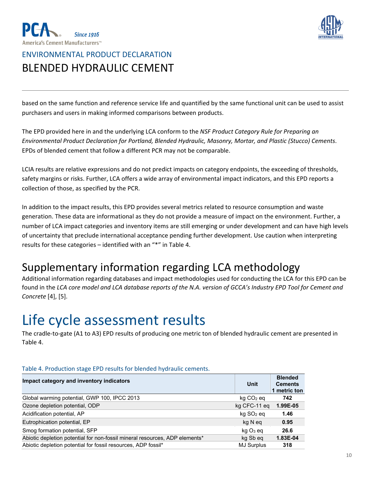



based on the same function and reference service life and quantified by the same functional unit can be used to assist purchasers and users in making informed comparisons between products.

The EPD provided here in and the underlying LCA conform to the *NSF Product Category Rule for Preparing an Environmental Product Declaration for Portland, Blended Hydraulic, Masonry, Mortar, and Plastic (Stucco) Cements*. EPDs of blended cement that follow a different PCR may not be comparable.

LCIA results are relative expressions and do not predict impacts on category endpoints, the exceeding of thresholds, safety margins or risks. Further, LCA offers a wide array of environmental impact indicators, and this EPD reports a collection of those, as specified by the PCR.

In addition to the impact results, this EPD provides several metrics related to resource consumption and waste generation. These data are informational as they do not provide a measure of impact on the environment. Further, a number of LCA impact categories and inventory items are still emerging or under development and can have high levels of uncertainty that preclude international acceptance pending further development. Use caution when interpreting results for these categories – identified with an "\*" in Table 4.

#### Supplementary information regarding LCA methodology

Additional information regarding databases and impact methodologies used for conducting the LCA for this EPD can be found in the LCA core model and LCA database reports of the N.A. version of GCCA's Industry EPD Tool for Cement and *Concrete* [4], [5].

### Life cycle assessment results

The cradle-to-gate (A1 to A3) EPD results of producing one metric ton of blended hydraulic cement are presented in Table 4.

| Impact category and inventory indicators                                    | Unit                    | <b>Blended</b><br><b>Cements</b><br>1 metric ton |
|-----------------------------------------------------------------------------|-------------------------|--------------------------------------------------|
| Global warming potential, GWP 100, IPCC 2013                                | $kq CO2$ eq             | 742                                              |
| Ozone depletion potential, ODP                                              | kg CFC-11 eq            | 1.99E-05                                         |
| Acidification potential, AP                                                 | $kq$ SO <sub>2</sub> eq | 1.46                                             |
| Eutrophication potential, EP                                                | kg N eq                 | 0.95                                             |
| Smog formation potential, SFP                                               | kg O <sub>3</sub> eg    | 26.6                                             |
| Abiotic depletion potential for non-fossil mineral resources, ADP elements* | kg Sb eg                | 1.83E-04                                         |
| Abiotic depletion potential for fossil resources, ADP fossil*               | <b>MJ Surplus</b>       | 318                                              |

#### Table 4. Production stage EPD results for blended hydraulic cements.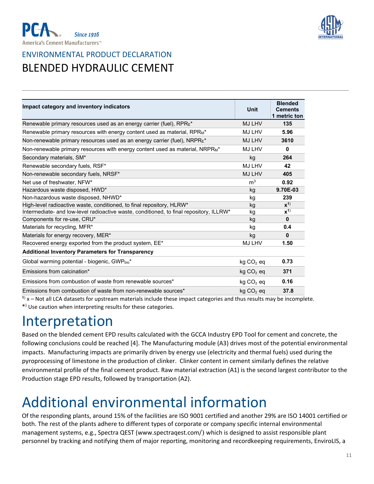



| Impact category and inventory indicators                                                  | <b>Unit</b>           | <b>Blended</b><br><b>Cements</b><br>1 metric ton |
|-------------------------------------------------------------------------------------------|-----------------------|--------------------------------------------------|
| Renewable primary resources used as an energy carrier (fuel), $RPRE^*$                    | <b>MJ LHV</b>         | 135                                              |
| Renewable primary resources with energy content used as material, RPRM*                   | MJ LHV                | 5.96                                             |
| Non-renewable primary resources used as an energy carrier (fuel), NRPRE*                  | <b>MJ LHV</b>         | 3610                                             |
| Non-renewable primary resources with energy content used as material, NRPR <sub>M</sub> * | <b>MJ LHV</b>         | $\bf{0}$                                         |
| Secondary materials, SM*                                                                  | kg                    | 264                                              |
| Renewable secondary fuels, RSF*                                                           | <b>MJ LHV</b>         | 42                                               |
| Non-renewable secondary fuels, NRSF*                                                      | <b>MJ LHV</b>         | 405                                              |
| Net use of freshwater, NFW*                                                               | m <sup>3</sup>        | 0.92                                             |
| Hazardous waste disposed, HWD*                                                            | kg                    | 9.70E-03                                         |
| Non-hazardous waste disposed, NHWD*                                                       | kg                    | 239                                              |
| High-level radioactive waste, conditioned, to final repository, HLRW*                     | kg                    | $x^{1}$                                          |
| Intermediate- and low-level radioactive waste, conditioned, to final repository, ILLRW*   | kg                    | $\mathbf{x}^{()}$                                |
| Components for re-use, CRU*                                                               | kg                    | $\bf{0}$                                         |
| Materials for recycling, MFR*                                                             | kg                    | 0.4                                              |
| Materials for energy recovery, MER*                                                       | kg                    | $\bf{0}$                                         |
| Recovered energy exported from the product system, EE*                                    | MJ LHV                | 1.50                                             |
| <b>Additional Inventory Parameters for Transparency</b>                                   |                       |                                                  |
| Global warming potential - biogenic, GWPbio*                                              | $kg CO2$ eq           | 0.73                                             |
| Fmissions from calcination*                                                               | $kg CO2$ eq           | 371                                              |
| Emissions from combustion of waste from renewable sources*                                | $kg CO2$ eq           | 0.16                                             |
| Emissions from combustion of waste from non-renewable sources*                            | kg CO <sub>2</sub> eg | 37.8                                             |

**<sup>1</sup>**) x – Not all LCA datasets for upstream materials include these impact categories and thus results may be incomplete. \*) Use caution when interpreting results for these categories.

### Interpretation

Based on the blended cement EPD results calculated with the GCCA Industry EPD Tool for cement and concrete, the following conclusions could be reached [4]. The Manufacturing module (A3) drives most of the potential environmental impacts. Manufacturing impacts are primarily driven by energy use (electricity and thermal fuels) used during the pyroprocessing of limestone in the production of clinker. Clinker content in cement similarly defines the relative environmental profile of the final cement product. Raw material extraction (A1) is the second largest contributor to the Production stage EPD results, followed by transportation (A2).

### Additional environmental information

Of the responding plants, around 15% of the facilities are ISO 9001 certified and another 29% are ISO 14001 certified or both. The rest of the plants adhere to different types of corporate or company specific internal environmental management systems, e.g., Spectra QEST [\(www.spectraqest.com/](http://www.spectraqest.com/)) which is designed to assist responsible plant personnel by tracking and notifying them of major reporting, monitoring and recordkeeping requirements, EnviroLIS, a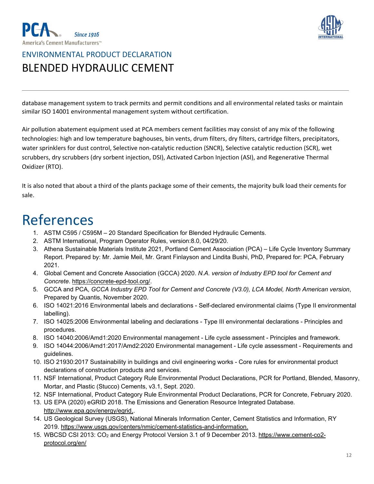



database management system to track permits and permit conditions and all environmental related tasks or maintain similar ISO 14001 environmental management system without certification.

Air pollution abatement equipment used at PCA members cement facilities may consist of any mix of the following technologies: high and low temperature baghouses, bin vents, drum filters, dry filters, cartridge filters, precipitators, water sprinklers for dust control, Selective non-catalytic reduction (SNCR), Selective catalytic reduction (SCR), wet scrubbers, dry scrubbers (dry sorbent injection, DSI), Activated Carbon Injection (ASI), and Regenerative Thermal Oxidizer (RTO).

It is also noted that about a third of the plants package some of their cements, the majority bulk load their cements for sale.

### References

- 1. ASTM C595 / C595M 20 Standard Specification for Blended Hydraulic Cements.
- 2. ASTM International, Program Operator Rules, version:8.0, 04/29/20.
- 3. Athena Sustainable Materials Institute 2021, Portland Cement Association (PCA) Life Cycle Inventory Summary Report. Prepared by: Mr. Jamie Meil, Mr. Grant Finlayson and Lindita Bushi, PhD, Prepared for: PCA, February 2021.
- 4. Global Cement and Concrete Association (GCCA) 2020. *N.A. version of Industry EPD tool for Cement and Concrete*. [https://concrete-epd-tool.org/.](https://concrete-epd-tool.org/)
- 5. GCCA and PCA, *GCCA Industry EPD Tool for Cement and Concrete (V3.0), LCA Model, North American version*, Prepared by Quantis, November 2020.
- 6. ISO 14021:2016 Environmental labels and declarations Self-declared environmental claims (Type II environmental labelling).
- 7. ISO 14025:2006 Environmental labeling and declarations Type III environmental declarations Principles and procedures.
- 8. ISO 14040:2006/Amd1:2020 Environmental management Life cycle assessment Principles and framework.
- 9. ISO 14044:2006/Amd1:2017/Amd2:2020 Environmental management Life cycle assessment Requirements and guidelines.
- 10. ISO 21930:2017 Sustainability in buildings and civil engineering works Core rules for environmental product declarations of construction products and services.
- 11. NSF International, Product Category Rule Environmental Product Declarations, PCR for Portland, Blended, Masonry, Mortar, and Plastic (Stucco) Cements, v3.1, Sept. 2020.
- 12. NSF International, Product Category Rule Environmental Product Declarations, PCR for Concrete, February 2020.
- 13. US EPA (2020) eGRID 2018. The Emissions and Generation Resource Integrated Database. [http://www.epa.gov/energy/egrid,](http://www.epa.gov/energy/egrid).
- 14. US Geological Survey (USGS), National Minerals Information Center, Cement Statistics and Information, RY 2019. [https://www.usgs.gov/centers/nmic/cement-statistics-and-information.](https://www.usgs.gov/centers/nmic/cement-statistics-and-information)
- 15. WBCSD CSI 2013: CO2 and Energy Protocol Version 3.1 of 9 December 2013. [https://www.cement-co2](https://www.cement-co2-protocol.org/en/) [protocol.org/en/](https://www.cement-co2-protocol.org/en/)